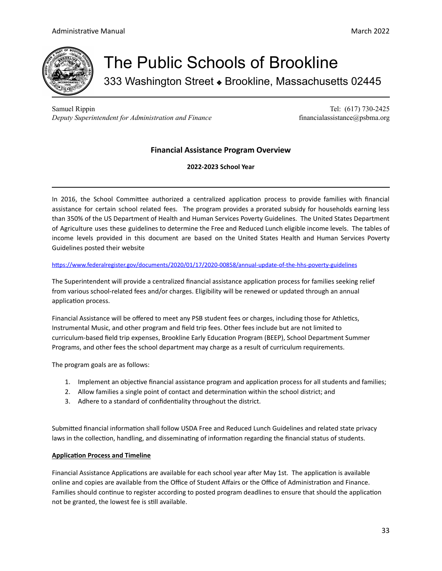

# The Public Schools of Brookline 333 Washington Street  $\bullet$  Brookline, Massachusetts 02445

Samuel Rippin Tel: (617) 730-2425 *Deputy Superintendent for Administration and Finance* financialassistance@psbma.org

# **Financial Assistance Program Overview**

**2022-2023 School Year**

In 2016, the School Committee authorized a centralized application process to provide families with financial assistance for certain school related fees. The program provides a prorated subsidy for households earning less than 350% of the US Department of Health and Human Services Poverty Guidelines. The United States Department of Agriculture uses these guidelines to determine the Free and Reduced Lunch eligible income levels. The tables of income levels provided in this document are based on the United States Health and Human Services Poverty Guidelines posted their website

# https://www.federalregister.gov/documents/2020/01/17/2020-00858/annual-update-of-the-hhs-poverty-guidelines

The Superintendent will provide a centralized financial assistance application process for families seeking relief from various school-related fees and/or charges. Eligibility will be renewed or updated through an annual application process.

Financial Assistance will be offered to meet any PSB student fees or charges, including those for Athletics, Instrumental Music, and other program and field trip fees. Other fees include but are not limited to curriculum-based field trip expenses, Brookline Early Education Program (BEEP), School Department Summer Programs, and other fees the school department may charge as a result of curriculum requirements.

The program goals are as follows:

- 1. Implement an objective financial assistance program and application process for all students and families;
- 2. Allow families a single point of contact and determination within the school district; and
- 3. Adhere to a standard of confidentiality throughout the district.

Submitted financial information shall follow USDA Free and Reduced Lunch Guidelines and related state privacy laws in the collection, handling, and disseminating of information regarding the financial status of students.

### **Application Process and Timeline**

Financial Assistance Applications are available for each school year after May 1st. The application is available online and copies are available from the Office of Student Affairs or the Office of Administration and Finance. Families should continue to register according to posted program deadlines to ensure that should the application not be granted, the lowest fee is still available.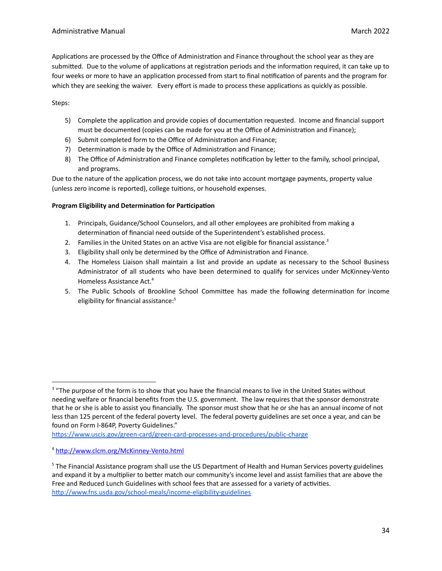Applications are processed by the Office of Administration and Finance throughout the school year as they are submitted. Due to the volume of applications at registration periods and the information required, it can take up to four weeks or more to have an application processed from start to final notification of parents and the program for which they are seeking the waiver. Every effort is made to process these applications as quickly as possible.

# Steps:

- 5) Complete the application and provide copies of documentation requested. Income and financial support must be documented (copies can be made for you at the Office of Administration and Finance);
- 6) Submit completed form to the Office of Administration and Finance;
- 7) Determination is made by the Office of Administration and Finance;
- 8) The Office of Administration and Finance completes notification by letter to the family, school principal, and programs.

Due to the nature of the application process, we do not take into account mortgage payments, property value (unless zero income is reported), college tuitions, or household expenses.

# **Program Eligibility and Determination for Participation**

- 1. Principals, Guidance/School Counselors, and all other employees are prohibited from making a determination of financial need outside of the Superintendent's established process.
- 2. Families in the United States on an active Visa are not eligible for financial assistance.<sup>3</sup>
- 3. Eligibility shall only be determined by the Office of Administration and Finance.
- 4. The Homeless Liaison shall maintain a list and provide an update as necessary to the School Business Administrator of all students who have been determined to qualify for services under McKinney-Vento Homeless Assistance Act. 4
- 5. The Public Schools of Brookline School Committee has made the following determination for income eligibility for financial assistance: 5

https://www.uscis.gov/green-card/green-card-processes-and-procedures/public-charge

<sup>&</sup>lt;sup>3</sup> "The purpose of the form is to show that you have the financial means to live in the United States without needing welfare or financial benefits from the U.S. government. The law requires that the sponsor demonstrate that he or she is able to assist you financially. The sponsor must show that he or she has an annual income of not less than 125 percent of the federal poverty level. The federal poverty guidelines are set once a year, and can be found on Form I-864P, Poverty Guidelines."

<sup>&</sup>lt;sup>4</sup> http://www.clcm.org/McKinney-Vento.html

<sup>&</sup>lt;sup>5</sup> The Financial Assistance program shall use the US Department of Health and Human Services poverty guidelines and expand it by a multiplier to better match our community's income level and assist families that are above the Free and Reduced Lunch Guidelines with school fees that are assessed for a variety of activities[.](http://www.fns.usda.gov/school-meals/income-eligibility-guidelines) http://www.fns.usda.gov/school-meals/income-eligibility-guidelines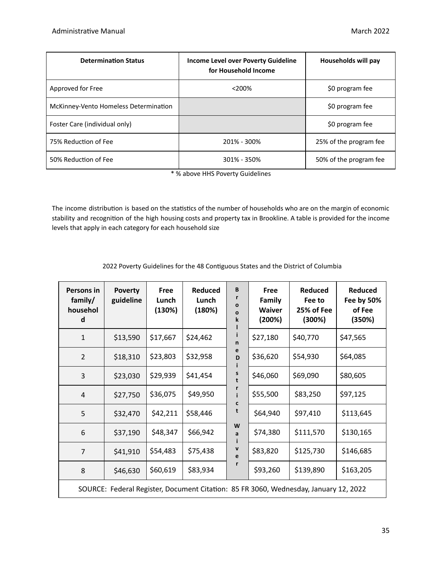| <b>Determination Status</b>           | <b>Income Level over Poverty Guideline</b><br>for Household Income | Households will pay    |
|---------------------------------------|--------------------------------------------------------------------|------------------------|
| Approved for Free                     | $< 200\%$                                                          | \$0 program fee        |
| McKinney-Vento Homeless Determination |                                                                    | \$0 program fee        |
| Foster Care (individual only)         |                                                                    | \$0 program fee        |
| 75% Reduction of Fee                  | 201% - 300%                                                        | 25% of the program fee |
| 50% Reduction of Fee                  | 301% - 350%                                                        | 50% of the program fee |

\* % above HHS Poverty Guidelines

The income distribution is based on the statistics of the number of households who are on the margin of economic stability and recognition of the high housing costs and property tax in Brookline. A table is provided for the income levels that apply in each category for each household size

| 2022 Poverty Guidelines for the 48 Contiguous States and the District of Columbia |  |  |
|-----------------------------------------------------------------------------------|--|--|
|                                                                                   |  |  |

| Persons in<br>family/<br>househol<br>d                                               | <b>Poverty</b><br>guideline | Free<br>Lunch<br>(130%) | <b>Reduced</b><br>Lunch<br>(180%) | B<br>$\mathbf{o}$<br>$\mathbf{o}$<br>k | <b>Free</b><br>Family<br><b>Waiver</b><br>(200%) | <b>Reduced</b><br>Fee to<br>25% of Fee<br>(300%) | <b>Reduced</b><br>Fee by 50%<br>of Fee<br>(350%) |  |
|--------------------------------------------------------------------------------------|-----------------------------|-------------------------|-----------------------------------|----------------------------------------|--------------------------------------------------|--------------------------------------------------|--------------------------------------------------|--|
| 1                                                                                    | \$13,590                    | \$17,667                | \$24,462                          | n                                      | \$27,180                                         | \$40,770                                         | \$47,565                                         |  |
| 2                                                                                    | \$18,310                    | \$23,803                | \$32,958                          | е<br>D                                 | \$36,620                                         | \$54,930                                         | \$64,085                                         |  |
| 3                                                                                    | \$23,030                    | \$29,939                | \$41,454                          |                                        | \$46,060                                         | \$69,090                                         | \$80,605                                         |  |
| $\overline{4}$                                                                       | \$27,750                    | \$36,075                | \$49,950                          |                                        | \$55,500                                         | \$83,250                                         | \$97,125                                         |  |
| 5                                                                                    | \$32,470                    | \$42,211                | \$58,446                          | t                                      | \$64,940                                         | \$97,410                                         | \$113,645                                        |  |
| 6                                                                                    | \$37,190                    | \$48,347                | \$66,942                          | W<br>a                                 | \$74,380                                         | \$111,570                                        | \$130,165                                        |  |
| $\overline{7}$                                                                       | \$41,910                    | \$54,483                | \$75,438                          | v<br>e                                 | \$83,820                                         | \$125,730                                        | \$146,685                                        |  |
| 8                                                                                    | \$46,630                    | \$60,619                | \$83,934                          |                                        | \$93,260                                         | \$139,890                                        | \$163,205                                        |  |
| SOURCE: Federal Register, Document Citation: 85 FR 3060, Wednesday, January 12, 2022 |                             |                         |                                   |                                        |                                                  |                                                  |                                                  |  |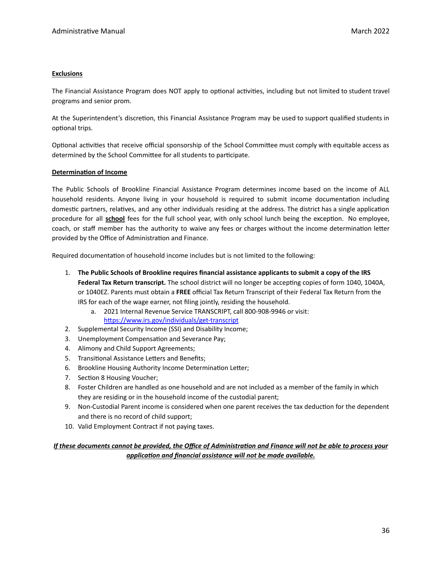#### **Exclusions**

The Financial Assistance Program does NOT apply to optional activities, including but not limited to student travel programs and senior prom.

At the Superintendent's discretion, this Financial Assistance Program may be used to support qualified students in optional trips.

Optional activities that receive official sponsorship of the School Committee must comply with equitable access as determined by the School Committee for all students to participate.

#### **Determination of Income**

The Public Schools of Brookline Financial Assistance Program determines income based on the income of ALL household residents. Anyone living in your household is required to submit income documentation including domestic partners, relatives, and any other individuals residing at the address. The district has a single application procedure for all school fees for the full school year, with only school lunch being the exception. No employee, coach, or staff member has the authority to waive any fees or charges without the income determination letter provided by the Office of Administration and Finance.

Required documentation of household income includes but is not limited to the following:

- 1. **The Public Schools of Brookline requires financial assistance applicants to submit a copy of the IRS** Federal Tax Return transcript. The school district will no longer be accepting copies of form 1040, 1040A, or 1040EZ. Parents must obtain a **FREE** official Tax Return Transcript of their Federal Tax Return from the IRS for each of the wage earner, not filing jointly, residing the household.
	- a. 2021 Internal Revenue Service TRANSCRIPT, call 800-908-9946 or visit: https://www.irs.gov/individuals/get-transcript
- 2. Supplemental Security Income (SSI) and Disability Income;
- 3. Unemployment Compensation and Severance Pay;
- 4. Alimony and Child Support Agreements;
- 5. Transitional Assistance Letters and Benefits;
- 6. Brookline Housing Authority Income Determination Letter;
- 7. Section 8 Housing Voucher;
- 8. Foster Children are handled as one household and are not included as a member of the family in which they are residing or in the household income of the custodial parent;
- 9. Non-Custodial Parent income is considered when one parent receives the tax deduction for the dependent and there is no record of child support;
- 10. Valid Employment Contract if not paying taxes.

# If these documents cannot be provided, the Office of Administration and Finance will not be able to process your *application and financial assistance will not be made available.*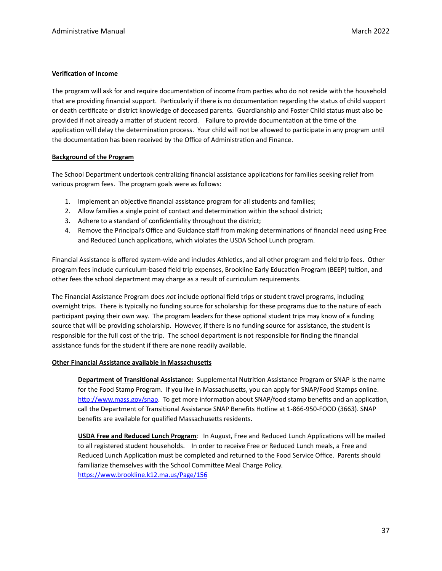#### **Verification of Income**

The program will ask for and require documentation of income from parties who do not reside with the household that are providing financial support. Particularly if there is no documentation regarding the status of child support or death cerficate or district knowledge of deceased parents. Guardianship and Foster Child status must also be provided if not already a matter of student record. Failure to provide documentation at the time of the application will delay the determination process. Your child will not be allowed to participate in any program until the documentation has been received by the Office of Administration and Finance.

#### **Background of the Program**

The School Department undertook centralizing financial assistance applications for families seeking relief from various program fees. The program goals were as follows:

- 1. Implement an objective financial assistance program for all students and families;
- 2. Allow families a single point of contact and determination within the school district;
- 3. Adhere to a standard of confidentiality throughout the district;
- 4. Remove the Principal's Office and Guidance staff from making determinations of financial need using Free and Reduced Lunch applications, which violates the USDA School Lunch program.

Financial Assistance is offered system-wide and includes Athletics, and all other program and field trip fees. Other program fees include curriculum-based field trip expenses, Brookline Early Education Program (BEEP) tuition, and other fees the school department may charge as a result of curriculum requirements.

The Financial Assistance Program does not include optional field trips or student travel programs, including overnight trips. There is typically no funding source for scholarship for these programs due to the nature of each participant paying their own way. The program leaders for these optional student trips may know of a funding source that will be providing scholarship. However, if there is no funding source for assistance, the student is responsible for the full cost of the trip. The school department is not responsible for finding the financial assistance funds for the student if there are none readily available.

#### **Other Financial Assistance available in Massachusetts**

**Department of Transitional Assistance**: Supplemental Nutrition Assistance Program or SNAP is the name for the Food Stamp Program. If you live in Massachusetts, you can apply for SNAP/Food Stamps online. http://www.mass.gov/snap. To get more information about SNAP/food stamp benefits and an application, call the Department of Transitional Assistance SNAP Benefits Hotline at 1-866-950-FOOD (3663). SNAP benefits are available for qualified Massachusetts residents.

**USDA Free and Reduced Lunch Program:** In August, Free and Reduced Lunch Applications will be mailed to all registered student households. In order to receive Free or Reduced Lunch meals, a Free and Reduced Lunch Application must be completed and returned to the Food Service Office. Parents should familiarize themselves with the School Committee Meal Charge Policy. https://www.brookline.k12.ma.us/Page/156